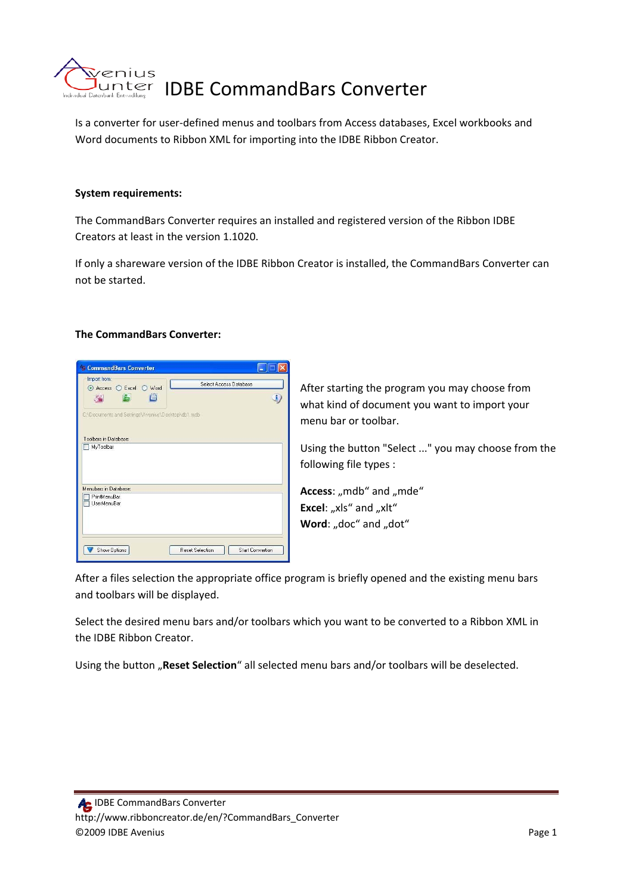

Is a converter for user‐defined menus and toolbars from Access databases, Excel workbooks and Word documents to Ribbon XML for importing into the IDBE Ribbon Creator.

#### **System requirements:**

The CommandBars Converter requires an installed and registered version of the Ribbon IDBE Creators at least in the version 1.1020.

If only a shareware version of the IDBE Ribbon Creator is installed, the CommandBars Converter can not be started.

#### **The CommandBars Converter:**



After starting the program you may choose from what kind of document you want to import your menu bar or toolbar.

Using the button "Select ..." you may choose from the following file types :

Access: "mdb" and "mde" **Excel:** "xls" and "xlt" **Word:** "doc" and "dot"

After a files selection the appropriate office program is briefly opened and the existing menu bars and toolbars will be displayed.

Select the desired menu bars and/or toolbars which you want to be converted to a Ribbon XML in the IDBE Ribbon Creator.

Using the button "Reset Selection" all selected menu bars and/or toolbars will be deselected.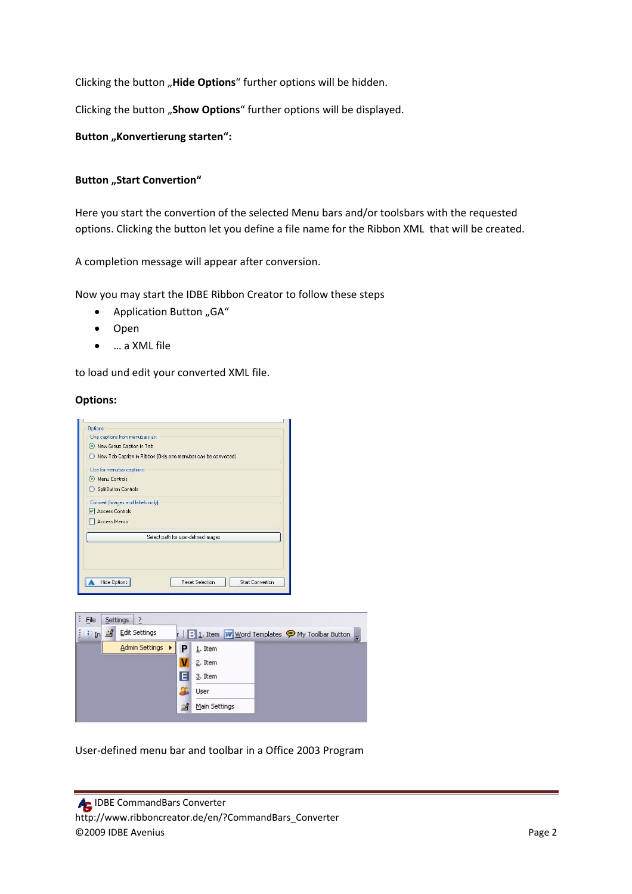Clicking the button "Hide Options" further options will be hidden.

Clicking the button "Show Options" further options will be displayed.

**Button** "Konvertierung starten":

#### **Button** "Start Convertion"

Here you start the convertion of the selected Menu bars and/or toolsbars with the requested options. Clicking the button let you define a file name for the Ribbon XML that will be created.

A completion message will appear after conversion.

Now you may start the IDBE Ribbon Creator to follow these steps

- Application Button " $GA''$
- Open
- … a XML file

to load und edit your converted XML file.

#### **Options:**





User‐defined menu bar and toolbar in a Office 2003 Program

 IDBE CommandBars Converter http://www.ribboncreator.de/en/?CommandBars\_Converter ©2009 IDBE Avenius Page 2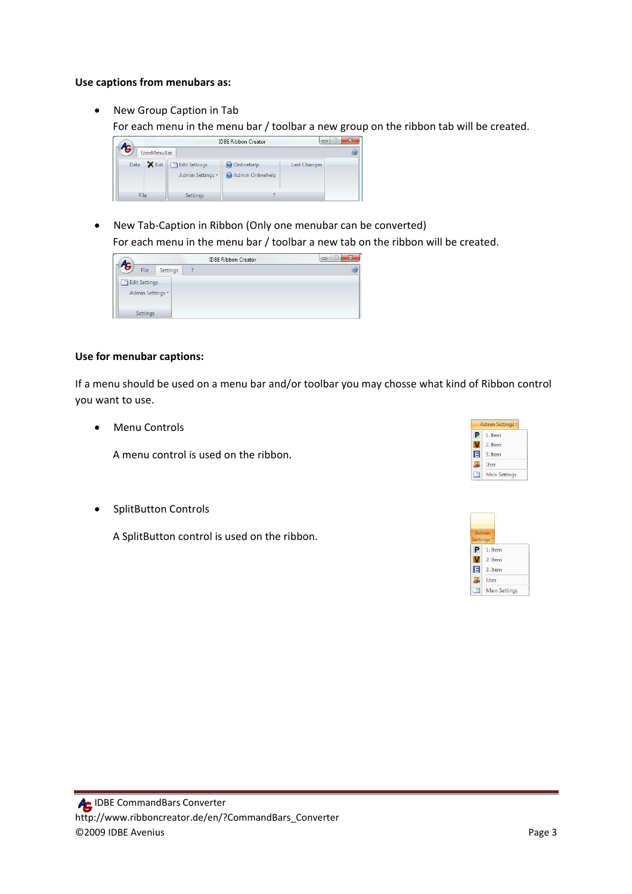#### **Use captions from menubars as:**

• New Group Caption in Tab

For each menu in the menu bar / toolbar a new group on the ribbon tab will be created.



• New Tab-Caption in Ribbon (Only one menubar can be converted) For each menu in the menu bar / toolbar a new tab on the ribbon will be created.



## **Use for menubar captions:**

If a menu should be used on a menu bar and/or toolbar you may chosse what kind of Ribbon control you want to use.

• Menu Controls

A menu control is used on the ribbon.

• SplitButton Controls

A SplitButton control is used on the ribbon.

|   | <b>Admin Settings</b> |
|---|-----------------------|
|   | 1. Item               |
|   | 2. Item               |
| E | 3. Item               |
|   | User                  |
|   | Main Settings         |